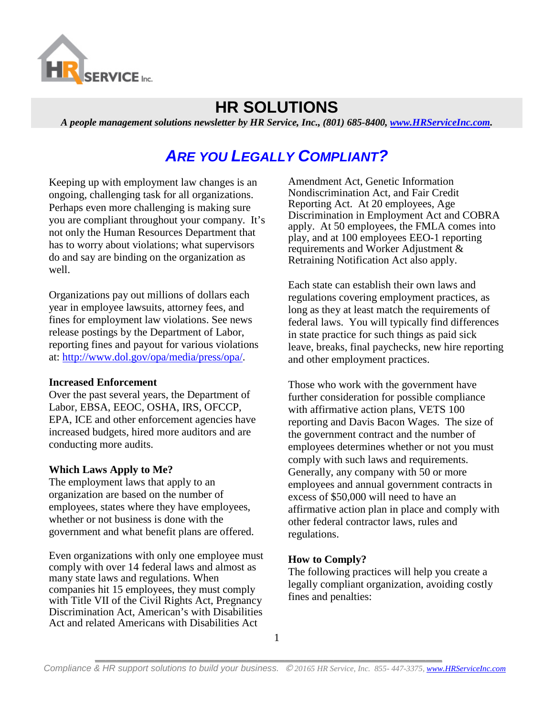

## **HR SOLUTIONS**

*A people management solutions newsletter by HR Service, Inc., (801) 685-8400, [www.HRServiceInc.com.](http://www.hrserviceinc.com/)*

# *ARE YOU LEGALLY COMPLIANT?*

Keeping up with employment law changes is an ongoing, challenging task for all organizations. Perhaps even more challenging is making sure you are compliant throughout your company. It's not only the Human Resources Department that has to worry about violations; what supervisors do and say are binding on the organization as well.

Organizations pay out millions of dollars each year in employee lawsuits, attorney fees, and fines for employment law violations. See news release postings by the Department of Labor, reporting fines and payout for various violations at: [http://www.dol.gov/opa/media/press/opa/.](http://www.dol.gov/opa/media/press/opa/)

#### **Increased Enforcement**

Over the past several years, the Department of Labor, EBSA, EEOC, OSHA, IRS, OFCCP, EPA, ICE and other enforcement agencies have increased budgets, hired more auditors and are conducting more audits.

#### **Which Laws Apply to Me?**

The employment laws that apply to an organization are based on the number of employees, states where they have employees, whether or not business is done with the government and what benefit plans are offered.

Even organizations with only one employee must comply with over 14 federal laws and almost as many state laws and regulations. When companies hit 15 employees, they must comply with Title VII of the Civil Rights Act, Pregnancy Discrimination Act, American's with Disabilities Act and related Americans with Disabilities Act

Amendment Act, Genetic Information Nondiscrimination Act, and Fair Credit Reporting Act. At 20 employees, Age Discrimination in Employment Act and COBRA apply. At 50 employees, the FMLA comes into play, and at 100 employees EEO-1 reporting requirements and Worker Adjustment & Retraining Notification Act also apply.

Each state can establish their own laws and regulations covering employment practices, as long as they at least match the requirements of federal laws. You will typically find differences in state practice for such things as paid sick leave, breaks, final paychecks, new hire reporting and other employment practices.

Those who work with the government have further consideration for possible compliance with affirmative action plans, VETS 100 reporting and Davis Bacon Wages.The size of the government contract and the number of employees determines whether or not you must comply with such laws and requirements. Generally, any company with 50 or more employees and annual government contracts in excess of \$50,000 will need to have an affirmative action plan in place and comply with other federal contractor laws, rules and regulations.

### **How to Comply?**

The following practices will help you create a legally compliant organization, avoiding costly fines and penalties: